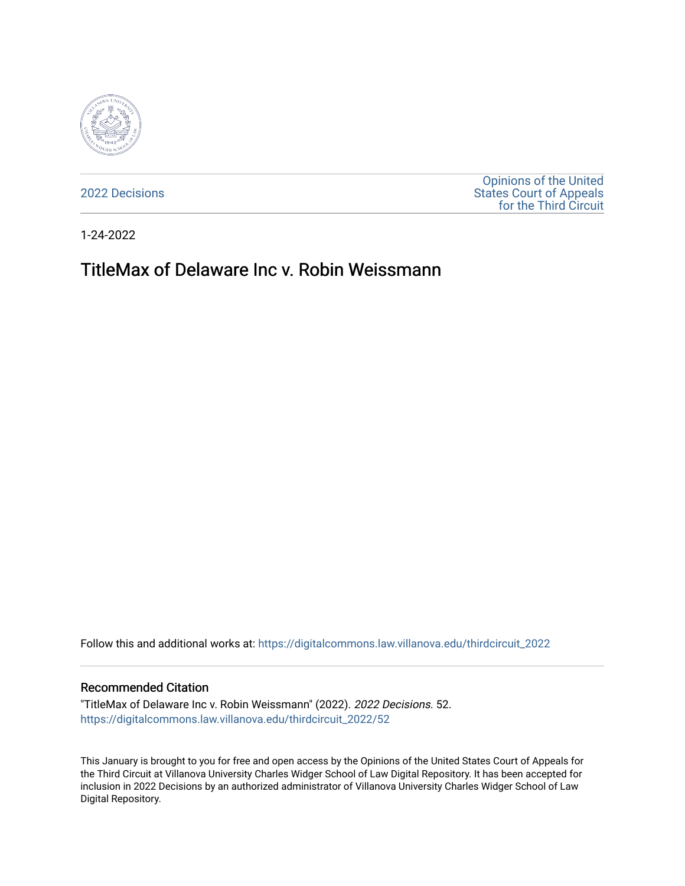

[2022 Decisions](https://digitalcommons.law.villanova.edu/thirdcircuit_2022)

[Opinions of the United](https://digitalcommons.law.villanova.edu/thirdcircuit)  [States Court of Appeals](https://digitalcommons.law.villanova.edu/thirdcircuit)  [for the Third Circuit](https://digitalcommons.law.villanova.edu/thirdcircuit) 

1-24-2022

# TitleMax of Delaware Inc v. Robin Weissmann

Follow this and additional works at: [https://digitalcommons.law.villanova.edu/thirdcircuit\\_2022](https://digitalcommons.law.villanova.edu/thirdcircuit_2022?utm_source=digitalcommons.law.villanova.edu%2Fthirdcircuit_2022%2F52&utm_medium=PDF&utm_campaign=PDFCoverPages) 

### Recommended Citation

"TitleMax of Delaware Inc v. Robin Weissmann" (2022). 2022 Decisions. 52. [https://digitalcommons.law.villanova.edu/thirdcircuit\\_2022/52](https://digitalcommons.law.villanova.edu/thirdcircuit_2022/52?utm_source=digitalcommons.law.villanova.edu%2Fthirdcircuit_2022%2F52&utm_medium=PDF&utm_campaign=PDFCoverPages)

This January is brought to you for free and open access by the Opinions of the United States Court of Appeals for the Third Circuit at Villanova University Charles Widger School of Law Digital Repository. It has been accepted for inclusion in 2022 Decisions by an authorized administrator of Villanova University Charles Widger School of Law Digital Repository.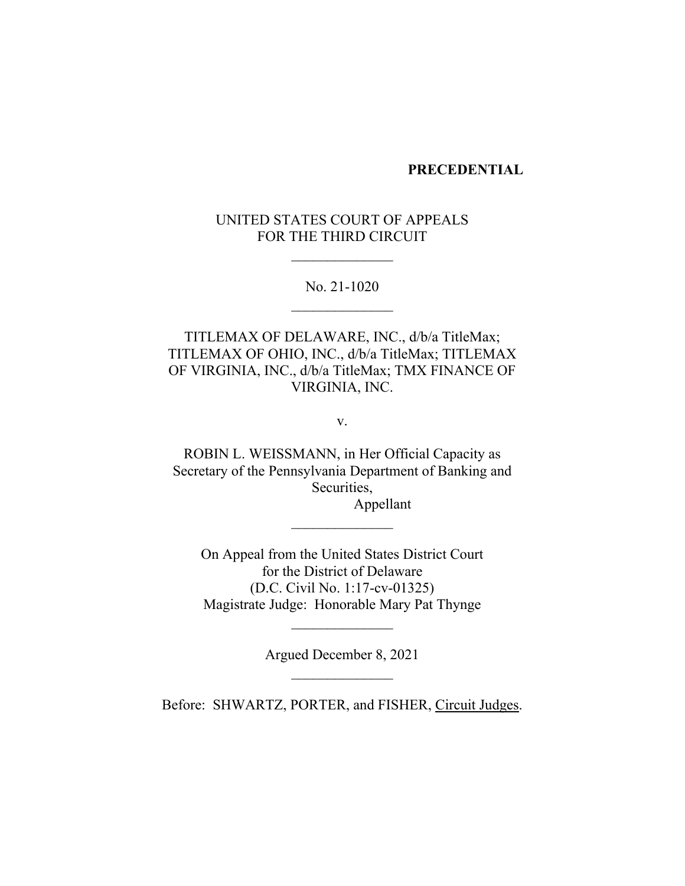### **PRECEDENTIAL**

# UNITED STATES COURT OF APPEALS FOR THE THIRD CIRCUIT

No. 21-1020

TITLEMAX OF DELAWARE, INC., d/b/a TitleMax; TITLEMAX OF OHIO, INC., d/b/a TitleMax; TITLEMAX OF VIRGINIA, INC., d/b/a TitleMax; TMX FINANCE OF VIRGINIA, INC.

v.

ROBIN L. WEISSMANN, in Her Official Capacity as Secretary of the Pennsylvania Department of Banking and Securities,

Appellant

On Appeal from the United States District Court for the District of Delaware (D.C. Civil No. 1:17-cv-01325) Magistrate Judge: Honorable Mary Pat Thynge

Argued December 8, 2021

 $\mathcal{L}_\text{max}$ 

Before: SHWARTZ, PORTER, and FISHER, Circuit Judges.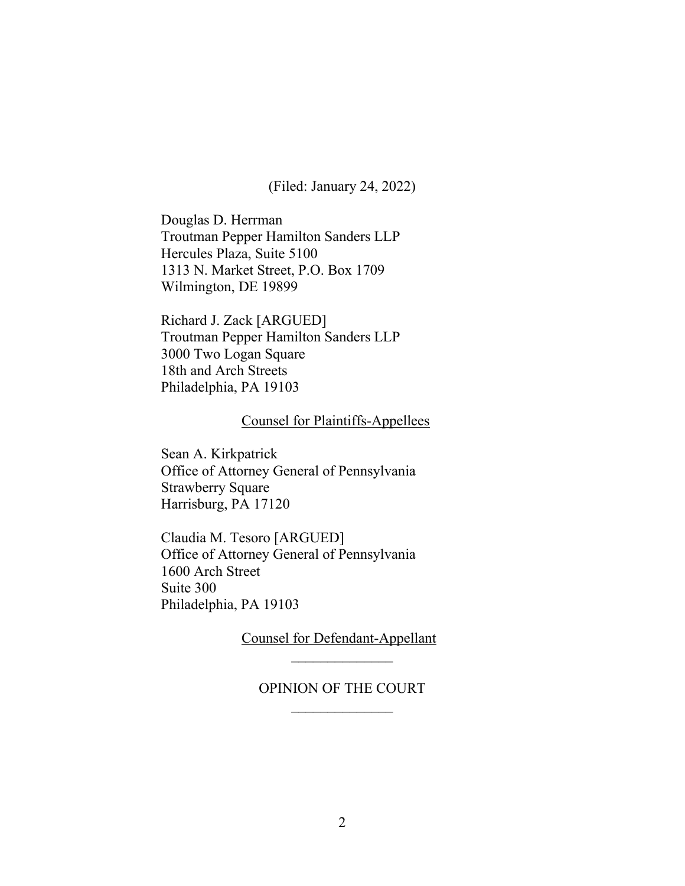(Filed: January 24, 2022)

Douglas D. Herrman Troutman Pepper Hamilton Sanders LLP Hercules Plaza, Suite 5100 1313 N. Market Street, P.O. Box 1709 Wilmington, DE 19899

Richard J. Zack [ARGUED] Troutman Pepper Hamilton Sanders LLP 3000 Two Logan Square 18th and Arch Streets Philadelphia, PA 19103

# Counsel for Plaintiffs-Appellees

Sean A. Kirkpatrick Office of Attorney General of Pennsylvania Strawberry Square Harrisburg, PA 17120

Claudia M. Tesoro [ARGUED] Office of Attorney General of Pennsylvania 1600 Arch Street Suite 300 Philadelphia, PA 19103

> Counsel for Defendant-Appellant  $\frac{1}{2}$

### OPINION OF THE COURT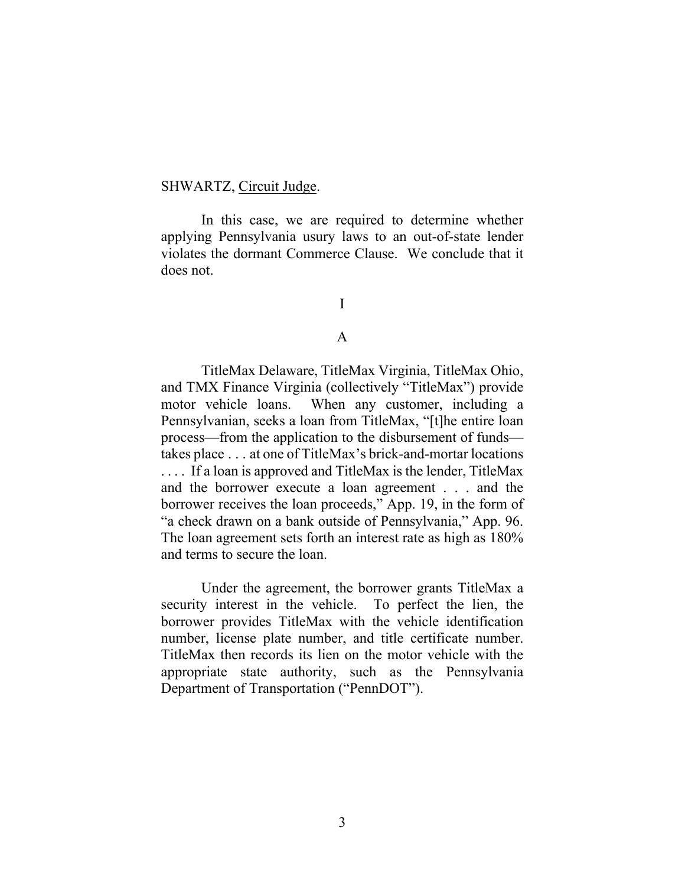### SHWARTZ, Circuit Judge.

In this case, we are required to determine whether applying Pennsylvania usury laws to an out-of-state lender violates the dormant Commerce Clause. We conclude that it does not.

I

### A

TitleMax Delaware, TitleMax Virginia, TitleMax Ohio, and TMX Finance Virginia (collectively "TitleMax") provide motor vehicle loans. When any customer, including a Pennsylvanian, seeks a loan from TitleMax, "[t]he entire loan process—from the application to the disbursement of funds takes place . . . at one of TitleMax's brick-and-mortar locations . . . . If a loan is approved and TitleMax is the lender, TitleMax and the borrower execute a loan agreement . . . and the borrower receives the loan proceeds," App. 19, in the form of "a check drawn on a bank outside of Pennsylvania," App. 96. The loan agreement sets forth an interest rate as high as 180% and terms to secure the loan.

Under the agreement, the borrower grants TitleMax a security interest in the vehicle. To perfect the lien, the borrower provides TitleMax with the vehicle identification number, license plate number, and title certificate number. TitleMax then records its lien on the motor vehicle with the appropriate state authority, such as the Pennsylvania Department of Transportation ("PennDOT").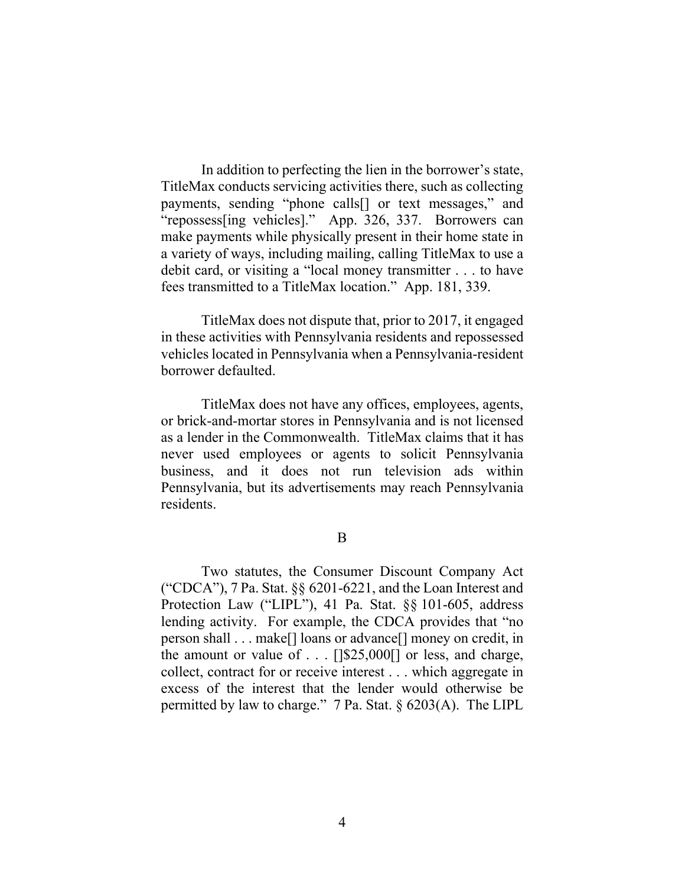In addition to perfecting the lien in the borrower's state, TitleMax conducts servicing activities there, such as collecting payments, sending "phone calls[] or text messages," and "repossess[ing vehicles]." App. 326, 337.Borrowers can make payments while physically present in their home state in a variety of ways, including mailing, calling TitleMax to use a debit card, or visiting a "local money transmitter . . . to have fees transmitted to a TitleMax location." App. 181, 339.

TitleMax does not dispute that, prior to 2017, it engaged in these activities with Pennsylvania residents and repossessed vehicles located in Pennsylvania when a Pennsylvania-resident borrower defaulted.

TitleMax does not have any offices, employees, agents, or brick-and-mortar stores in Pennsylvania and is not licensed as a lender in the Commonwealth. TitleMax claims that it has never used employees or agents to solicit Pennsylvania business, and it does not run television ads within Pennsylvania, but its advertisements may reach Pennsylvania residents.

B

Two statutes, the Consumer Discount Company Act ("CDCA"), 7 Pa. Stat.  $\S$  6201-6221, and the Loan Interest and Protection Law ("LIPL"), 41 Pa. Stat. §§ 101-605, address lending activity. For example, the CDCA provides that "no person shall . . . make[] loans or advance[] money on credit, in the amount or value of  $\dots$  [[\$25,000]] or less, and charge, collect, contract for or receive interest . . . which aggregate in excess of the interest that the lender would otherwise be permitted by law to charge." 7 Pa. Stat. § 6203(A). The LIPL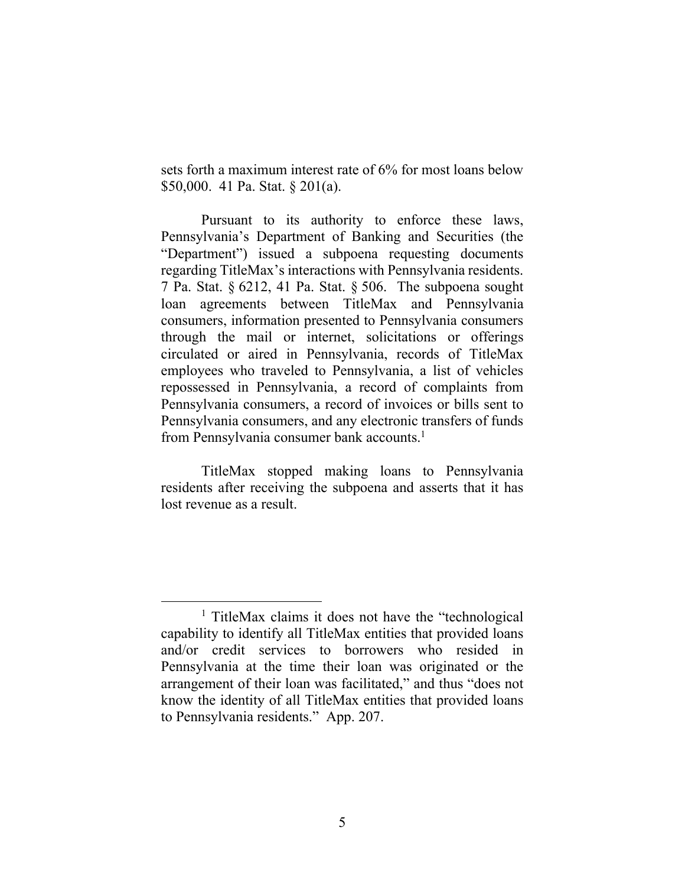sets forth a maximum interest rate of 6% for most loans below \$50,000. 41 Pa. Stat. § 201(a).

Pursuant to its authority to enforce these laws, Pennsylvania's Department of Banking and Securities (the "Department") issued a subpoena requesting documents regarding TitleMax's interactions with Pennsylvania residents. 7 Pa. Stat. § 6212, 41 Pa. Stat. § 506. The subpoena sought loan agreements between TitleMax and Pennsylvania consumers, information presented to Pennsylvania consumers through the mail or internet, solicitations or offerings circulated or aired in Pennsylvania, records of TitleMax employees who traveled to Pennsylvania, a list of vehicles repossessed in Pennsylvania, a record of complaints from Pennsylvania consumers, a record of invoices or bills sent to Pennsylvania consumers, and any electronic transfers of funds from Pennsylvania consumer bank accounts.<sup>1</sup>

TitleMax stopped making loans to Pennsylvania residents after receiving the subpoena and asserts that it has lost revenue as a result.

<sup>&</sup>lt;sup>1</sup> TitleMax claims it does not have the "technological capability to identify all TitleMax entities that provided loans and/or credit services to borrowers who resided in Pennsylvania at the time their loan was originated or the arrangement of their loan was facilitated," and thus "does not know the identity of all TitleMax entities that provided loans to Pennsylvania residents." App. 207.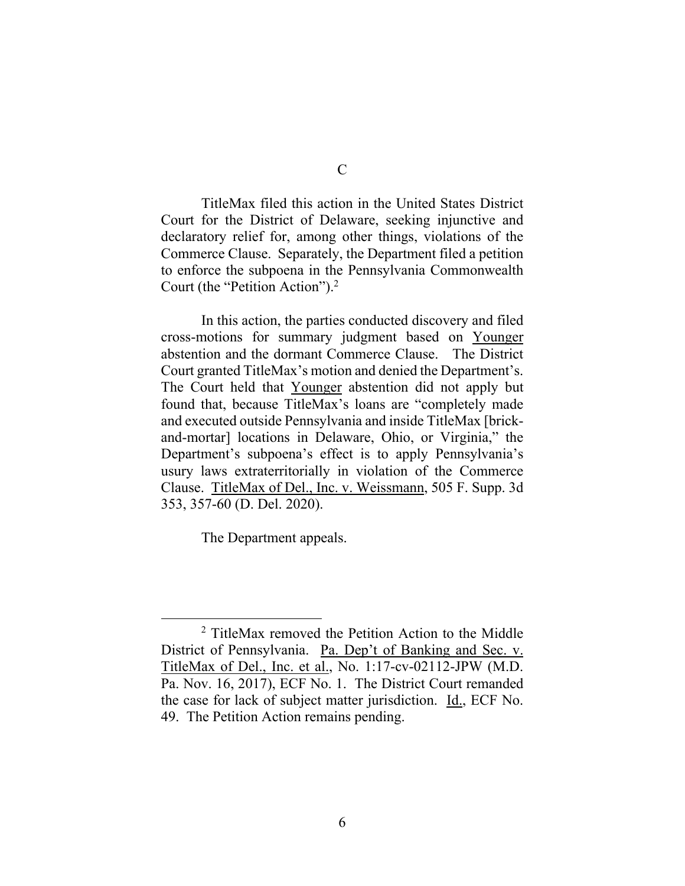TitleMax filed this action in the United States District Court for the District of Delaware, seeking injunctive and declaratory relief for, among other things, violations of the Commerce Clause. Separately, the Department filed a petition to enforce the subpoena in the Pennsylvania Commonwealth Court (the "Petition Action").2

In this action, the parties conducted discovery and filed cross-motions for summary judgment based on Younger abstention and the dormant Commerce Clause. The District Court granted TitleMax's motion and denied the Department's. The Court held that Younger abstention did not apply but found that, because TitleMax's loans are "completely made and executed outside Pennsylvania and inside TitleMax [brickand-mortar] locations in Delaware, Ohio, or Virginia," the Department's subpoena's effect is to apply Pennsylvania's usury laws extraterritorially in violation of the Commerce Clause. TitleMax of Del., Inc. v. Weissmann, 505 F. Supp. 3d 353, 357-60 (D. Del. 2020).

The Department appeals.

<sup>2</sup> TitleMax removed the Petition Action to the Middle District of Pennsylvania. Pa. Dep't of Banking and Sec. v. TitleMax of Del., Inc. et al., No. 1:17-cv-02112-JPW (M.D. Pa. Nov. 16, 2017), ECF No. 1. The District Court remanded the case for lack of subject matter jurisdiction. Id., ECF No. 49. The Petition Action remains pending.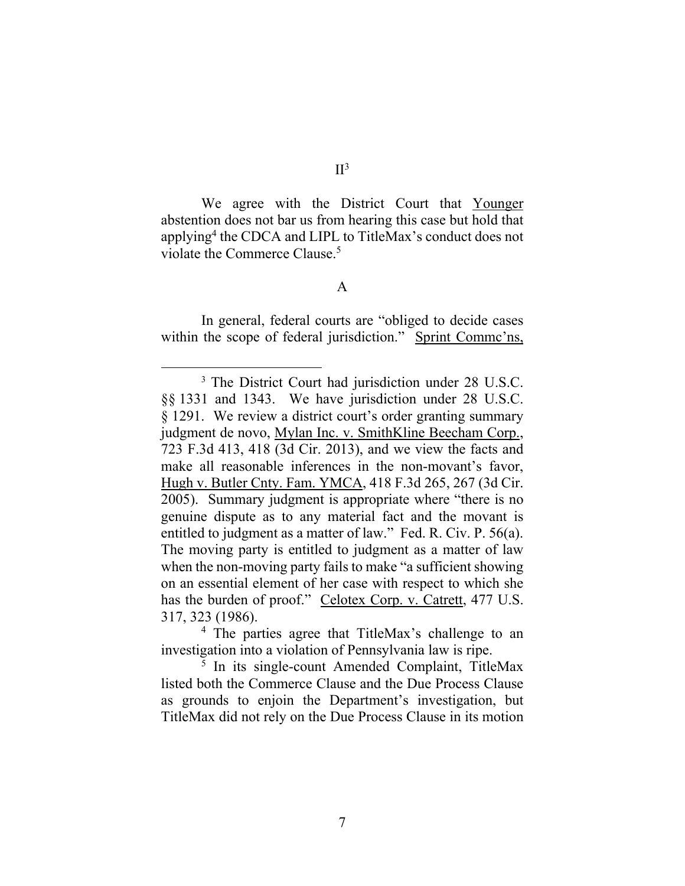We agree with the District Court that Younger abstention does not bar us from hearing this case but hold that applying4 the CDCA and LIPL to TitleMax's conduct does not violate the Commerce Clause.<sup>5</sup>

A

In general, federal courts are "obliged to decide cases within the scope of federal jurisdiction." Sprint Comme'ns,

<sup>4</sup> The parties agree that TitleMax's challenge to an investigation into a violation of Pennsylvania law is ripe.

<sup>5</sup> In its single-count Amended Complaint, TitleMax listed both the Commerce Clause and the Due Process Clause as grounds to enjoin the Department's investigation, but TitleMax did not rely on the Due Process Clause in its motion

<sup>3</sup> The District Court had jurisdiction under 28 U.S.C. §§ 1331 and 1343. We have jurisdiction under 28 U.S.C. § 1291. We review a district court's order granting summary judgment de novo, Mylan Inc. v. SmithKline Beecham Corp., 723 F.3d 413, 418 (3d Cir. 2013), and we view the facts and make all reasonable inferences in the non-movant's favor, Hugh v. Butler Cnty. Fam. YMCA, 418 F.3d 265, 267 (3d Cir. 2005). Summary judgment is appropriate where "there is no genuine dispute as to any material fact and the movant is entitled to judgment as a matter of law." Fed. R. Civ. P. 56(a). The moving party is entitled to judgment as a matter of law when the non-moving party fails to make "a sufficient showing on an essential element of her case with respect to which she has the burden of proof." Celotex Corp. v. Catrett, 477 U.S. 317, 323 (1986).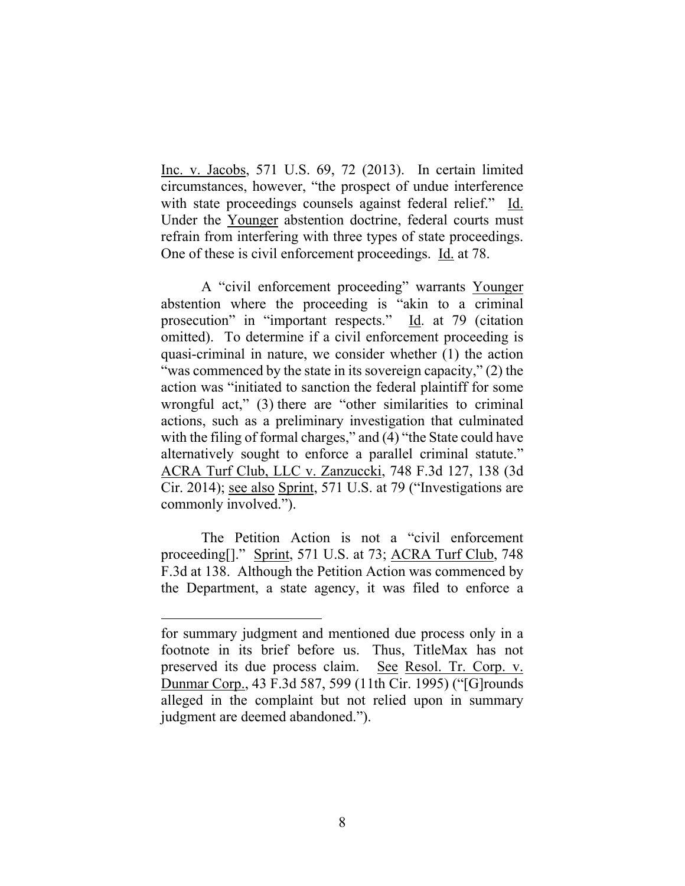Inc. v. Jacobs, 571 U.S. 69, 72 (2013). In certain limited circumstances, however, "the prospect of undue interference with state proceedings counsels against federal relief." Id. Under the Younger abstention doctrine, federal courts must refrain from interfering with three types of state proceedings. One of these is civil enforcement proceedings. Id. at 78.

A "civil enforcement proceeding" warrants Younger abstention where the proceeding is "akin to a criminal prosecution" in "important respects." Id. at 79 (citation omitted). To determine if a civil enforcement proceeding is quasi-criminal in nature, we consider whether (1) the action "was commenced by the state in its sovereign capacity," (2) the action was "initiated to sanction the federal plaintiff for some wrongful act," (3) there are "other similarities to criminal actions, such as a preliminary investigation that culminated with the filing of formal charges," and (4) "the State could have alternatively sought to enforce a parallel criminal statute." ACRA Turf Club, LLC v. Zanzuccki, 748 F.3d 127, 138 (3d Cir. 2014); see also Sprint, 571 U.S. at 79 ("Investigations are commonly involved.").

The Petition Action is not a "civil enforcement proceeding[]." Sprint, 571 U.S. at 73; ACRA Turf Club, 748 F.3d at 138. Although the Petition Action was commenced by the Department, a state agency, it was filed to enforce a

for summary judgment and mentioned due process only in a footnote in its brief before us. Thus, TitleMax has not preserved its due process claim. See Resol. Tr. Corp. v. Dunmar Corp., 43 F.3d 587, 599 (11th Cir. 1995) ("[G]rounds alleged in the complaint but not relied upon in summary judgment are deemed abandoned.").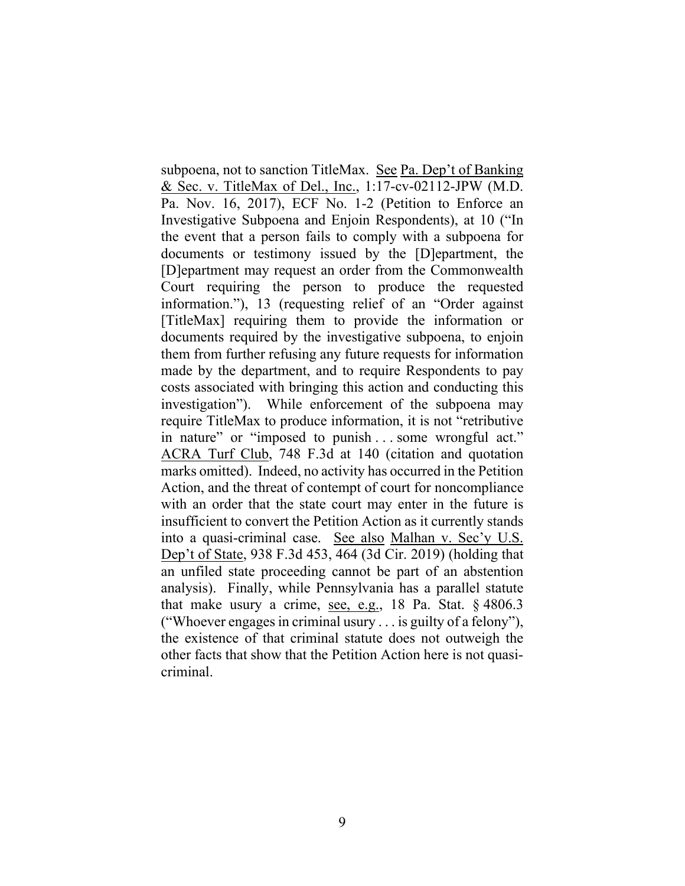subpoena, not to sanction TitleMax. See Pa. Dep't of Banking & Sec. v. TitleMax of Del., Inc., 1:17-cv-02112-JPW (M.D. Pa. Nov. 16, 2017), ECF No. 1-2 (Petition to Enforce an Investigative Subpoena and Enjoin Respondents), at 10 ("In the event that a person fails to comply with a subpoena for documents or testimony issued by the [D]epartment, the [D]epartment may request an order from the Commonwealth Court requiring the person to produce the requested information."), 13 (requesting relief of an "Order against [TitleMax] requiring them to provide the information or documents required by the investigative subpoena, to enjoin them from further refusing any future requests for information made by the department, and to require Respondents to pay costs associated with bringing this action and conducting this investigation"). While enforcement of the subpoena may require TitleMax to produce information, it is not "retributive in nature" or "imposed to punish . . . some wrongful act." ACRA Turf Club, 748 F.3d at 140 (citation and quotation marks omitted). Indeed, no activity has occurred in the Petition Action, and the threat of contempt of court for noncompliance with an order that the state court may enter in the future is insufficient to convert the Petition Action as it currently stands into a quasi-criminal case. See also Malhan v. Sec'y U.S. Dep't of State, 938 F.3d 453, 464 (3d Cir. 2019) (holding that an unfiled state proceeding cannot be part of an abstention analysis). Finally, while Pennsylvania has a parallel statute that make usury a crime, see, e.g., 18 Pa. Stat. § 4806.3 ("Whoever engages in criminal usury . . . is guilty of a felony"), the existence of that criminal statute does not outweigh the other facts that show that the Petition Action here is not quasicriminal.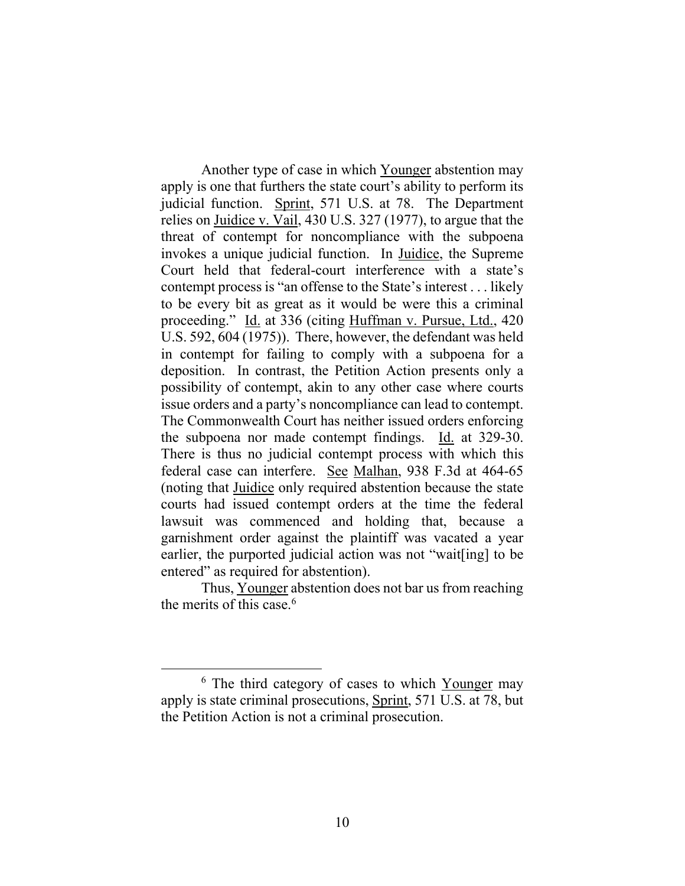Another type of case in which Younger abstention may apply is one that furthers the state court's ability to perform its judicial function. Sprint, 571 U.S. at 78. The Department relies on Juidice v. Vail, 430 U.S. 327 (1977), to argue that the threat of contempt for noncompliance with the subpoena invokes a unique judicial function. In Juidice, the Supreme Court held that federal-court interference with a state's contempt process is "an offense to the State's interest . . . likely to be every bit as great as it would be were this a criminal proceeding." Id. at 336 (citing Huffman v. Pursue, Ltd., 420 U.S. 592, 604 (1975)). There, however, the defendant was held in contempt for failing to comply with a subpoena for a deposition. In contrast, the Petition Action presents only a possibility of contempt, akin to any other case where courts issue orders and a party's noncompliance can lead to contempt. The Commonwealth Court has neither issued orders enforcing the subpoena nor made contempt findings. Id. at 329-30. There is thus no judicial contempt process with which this federal case can interfere. See Malhan, 938 F.3d at 464-65 (noting that Juidice only required abstention because the state courts had issued contempt orders at the time the federal lawsuit was commenced and holding that, because a garnishment order against the plaintiff was vacated a year earlier, the purported judicial action was not "wait[ing] to be entered" as required for abstention).

Thus, Younger abstention does not bar us from reaching the merits of this case.6

<sup>&</sup>lt;sup>6</sup> The third category of cases to which Younger may apply is state criminal prosecutions, Sprint, 571 U.S. at 78, but the Petition Action is not a criminal prosecution.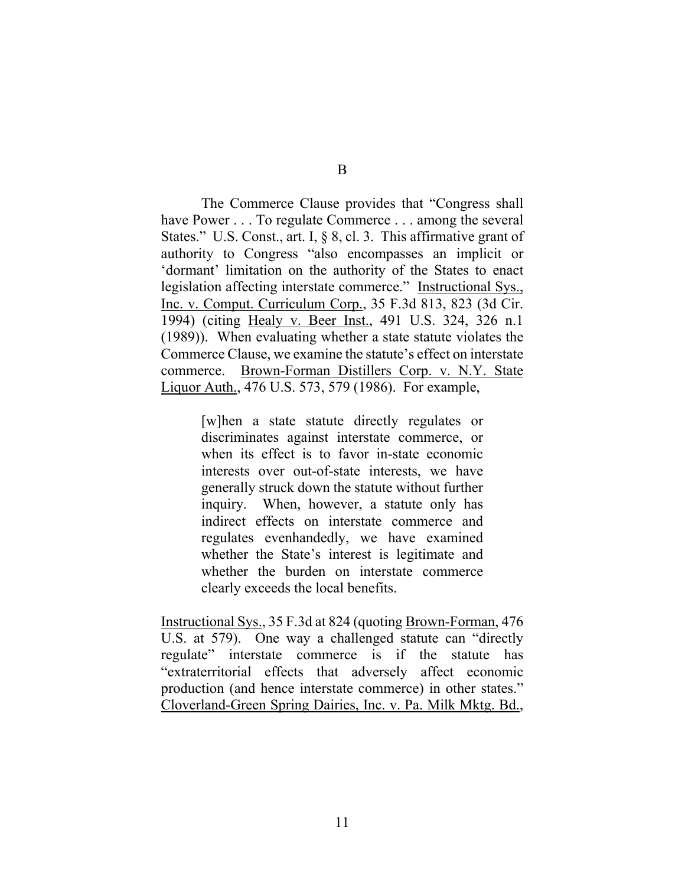The Commerce Clause provides that "Congress shall have Power . . . To regulate Commerce . . . among the several States." U.S. Const., art. I, § 8, cl. 3. This affirmative grant of authority to Congress "also encompasses an implicit or 'dormant' limitation on the authority of the States to enact legislation affecting interstate commerce." Instructional Sys., Inc. v. Comput. Curriculum Corp., 35 F.3d 813, 823 (3d Cir. 1994) (citing Healy v. Beer Inst., 491 U.S. 324, 326 n.1 (1989)). When evaluating whether a state statute violates the Commerce Clause, we examine the statute's effect on interstate commerce. Brown-Forman Distillers Corp. v. N.Y. State Liquor Auth., 476 U.S. 573, 579 (1986). For example,

> [w]hen a state statute directly regulates or discriminates against interstate commerce, or when its effect is to favor in-state economic interests over out-of-state interests, we have generally struck down the statute without further inquiry. When, however, a statute only has indirect effects on interstate commerce and regulates evenhandedly, we have examined whether the State's interest is legitimate and whether the burden on interstate commerce clearly exceeds the local benefits.

Instructional Sys., 35 F.3d at 824 (quoting Brown-Forman, 476 U.S. at 579). One way a challenged statute can "directly regulate" interstate commerce is if the statute has "extraterritorial effects that adversely affect economic production (and hence interstate commerce) in other states." Cloverland-Green Spring Dairies, Inc. v. Pa. Milk Mktg. Bd.,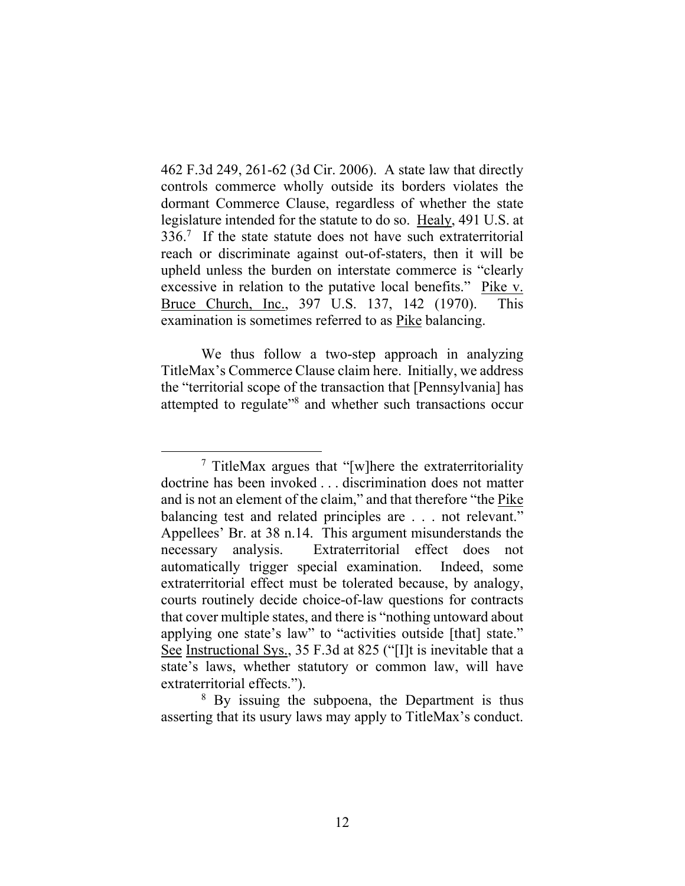462 F.3d 249, 261-62 (3d Cir. 2006). A state law that directly controls commerce wholly outside its borders violates the dormant Commerce Clause, regardless of whether the state legislature intended for the statute to do so. Healy, 491 U.S. at 336.<sup>7</sup> If the state statute does not have such extraterritorial reach or discriminate against out-of-staters, then it will be upheld unless the burden on interstate commerce is "clearly excessive in relation to the putative local benefits." Pike v. Bruce Church, Inc., 397 U.S. 137, 142 (1970). This examination is sometimes referred to as Pike balancing.

We thus follow a two-step approach in analyzing TitleMax's Commerce Clause claim here. Initially, we address the "territorial scope of the transaction that [Pennsylvania] has attempted to regulate"<sup>8</sup> and whether such transactions occur

<sup>8</sup> By issuing the subpoena, the Department is thus asserting that its usury laws may apply to TitleMax's conduct.

<sup>&</sup>lt;sup>7</sup> TitleMax argues that "[w]here the extraterritoriality doctrine has been invoked . . . discrimination does not matter and is not an element of the claim," and that therefore "the Pike balancing test and related principles are . . . not relevant." Appellees' Br. at 38 n.14.This argument misunderstands the necessary analysis. Extraterritorial effect does not automatically trigger special examination. Indeed, some extraterritorial effect must be tolerated because, by analogy, courts routinely decide choice-of-law questions for contracts that cover multiple states, and there is "nothing untoward about applying one state's law" to "activities outside [that] state." See Instructional Sys., 35 F.3d at 825 ("[I]t is inevitable that a state's laws, whether statutory or common law, will have extraterritorial effects.").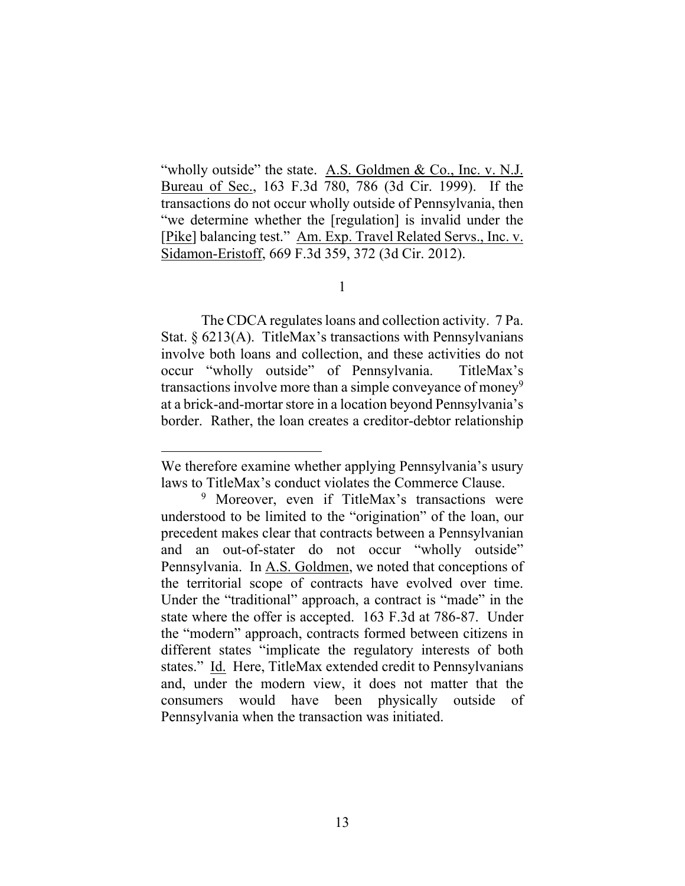"wholly outside" the state. A.S. Goldmen & Co., Inc. v. N.J. Bureau of Sec., 163 F.3d 780, 786 (3d Cir. 1999). If the transactions do not occur wholly outside of Pennsylvania, then "we determine whether the [regulation] is invalid under the [Pike] balancing test." Am. Exp. Travel Related Servs., Inc. v. Sidamon-Eristoff, 669 F.3d 359, 372 (3d Cir. 2012).

1

 The CDCA regulates loans and collection activity. 7 Pa. Stat. § 6213(A). TitleMax's transactions with Pennsylvanians involve both loans and collection, and these activities do not occur "wholly outside" of Pennsylvania. TitleMax's transactions involve more than a simple conveyance of money<sup>9</sup> at a brick-and-mortar store in a location beyond Pennsylvania's border. Rather, the loan creates a creditor-debtor relationship

We therefore examine whether applying Pennsylvania's usury laws to TitleMax's conduct violates the Commerce Clause.

<sup>&</sup>lt;sup>9</sup> Moreover, even if TitleMax's transactions were understood to be limited to the "origination" of the loan, our precedent makes clear that contracts between a Pennsylvanian and an out-of-stater do not occur "wholly outside" Pennsylvania. In A.S. Goldmen, we noted that conceptions of the territorial scope of contracts have evolved over time. Under the "traditional" approach, a contract is "made" in the state where the offer is accepted. 163 F.3d at 786-87. Under the "modern" approach, contracts formed between citizens in different states "implicate the regulatory interests of both states." Id. Here, TitleMax extended credit to Pennsylvanians and, under the modern view, it does not matter that the consumers would have been physically outside of Pennsylvania when the transaction was initiated.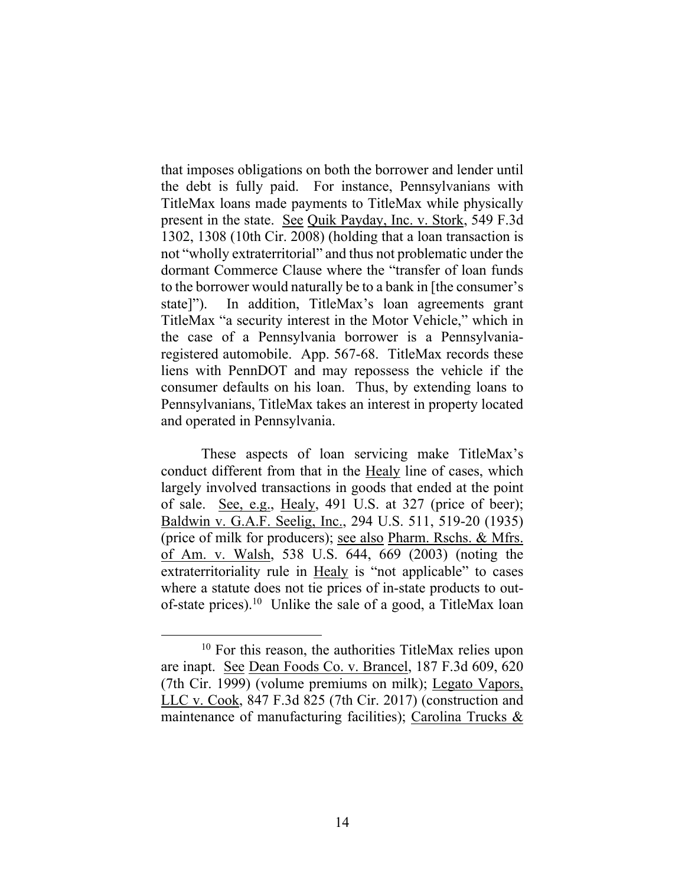that imposes obligations on both the borrower and lender until the debt is fully paid. For instance, Pennsylvanians with TitleMax loans made payments to TitleMax while physically present in the state. See Quik Payday, Inc. v. Stork, 549 F.3d 1302, 1308 (10th Cir. 2008) (holding that a loan transaction is not "wholly extraterritorial" and thus not problematic under the dormant Commerce Clause where the "transfer of loan funds to the borrower would naturally be to a bank in [the consumer's state]"). In addition, TitleMax's loan agreements grant TitleMax "a security interest in the Motor Vehicle," which in the case of a Pennsylvania borrower is a Pennsylvaniaregistered automobile. App. 567-68.TitleMax records these liens with PennDOT and may repossess the vehicle if the consumer defaults on his loan. Thus, by extending loans to Pennsylvanians, TitleMax takes an interest in property located and operated in Pennsylvania.

These aspects of loan servicing make TitleMax's conduct different from that in the Healy line of cases, which largely involved transactions in goods that ended at the point of sale. See, e.g., Healy, 491 U.S. at 327 (price of beer); Baldwin v. G.A.F. Seelig, Inc., 294 U.S. 511, 519-20 (1935) (price of milk for producers); see also Pharm. Rschs. & Mfrs. of Am. v. Walsh, 538 U.S. 644, 669 (2003) (noting the extraterritoriality rule in Healy is "not applicable" to cases where a statute does not tie prices of in-state products to outof-state prices).<sup>10</sup> Unlike the sale of a good, a TitleMax loan

<sup>10</sup> For this reason, the authorities TitleMax relies upon are inapt. See Dean Foods Co. v. Brancel, 187 F.3d 609, 620 (7th Cir. 1999) (volume premiums on milk); Legato Vapors, LLC v. Cook, 847 F.3d 825 (7th Cir. 2017) (construction and maintenance of manufacturing facilities); Carolina Trucks &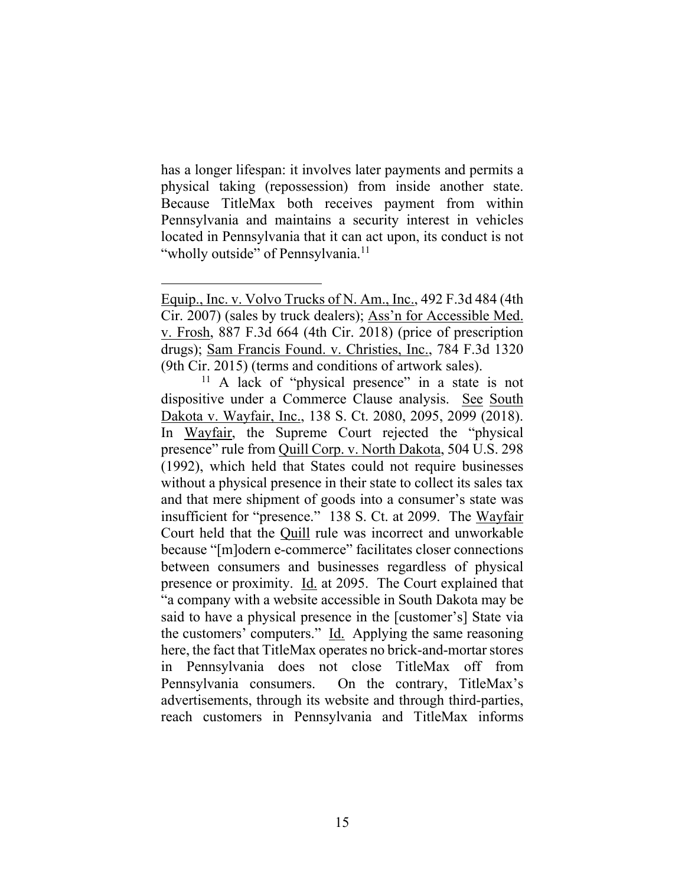has a longer lifespan: it involves later payments and permits a physical taking (repossession) from inside another state. Because TitleMax both receives payment from within Pennsylvania and maintains a security interest in vehicles located in Pennsylvania that it can act upon, its conduct is not "wholly outside" of Pennsylvania.<sup>11</sup>

Equip., Inc. v. Volvo Trucks of N. Am., Inc., 492 F.3d 484 (4th Cir. 2007) (sales by truck dealers); Ass'n for Accessible Med. v. Frosh, 887 F.3d 664 (4th Cir. 2018) (price of prescription drugs); Sam Francis Found. v. Christies, Inc., 784 F.3d 1320 (9th Cir. 2015) (terms and conditions of artwork sales).

<sup>&</sup>lt;sup>11</sup> A lack of "physical presence" in a state is not dispositive under a Commerce Clause analysis. See South Dakota v. Wayfair, Inc., 138 S. Ct. 2080, 2095, 2099 (2018). In Wayfair, the Supreme Court rejected the "physical presence" rule from Quill Corp. v. North Dakota, 504 U.S. 298 (1992), which held that States could not require businesses without a physical presence in their state to collect its sales tax and that mere shipment of goods into a consumer's state was insufficient for "presence." 138 S. Ct. at 2099. The Wayfair Court held that the Quill rule was incorrect and unworkable because "[m]odern e-commerce" facilitates closer connections between consumers and businesses regardless of physical presence or proximity. **Id.** at 2095. The Court explained that "a company with a website accessible in South Dakota may be said to have a physical presence in the [customer's] State via the customers' computers." Id. Applying the same reasoning here, the fact that TitleMax operates no brick-and-mortar stores in Pennsylvania does not close TitleMax off from Pennsylvania consumers. On the contrary, TitleMax's advertisements, through its website and through third-parties, reach customers in Pennsylvania and TitleMax informs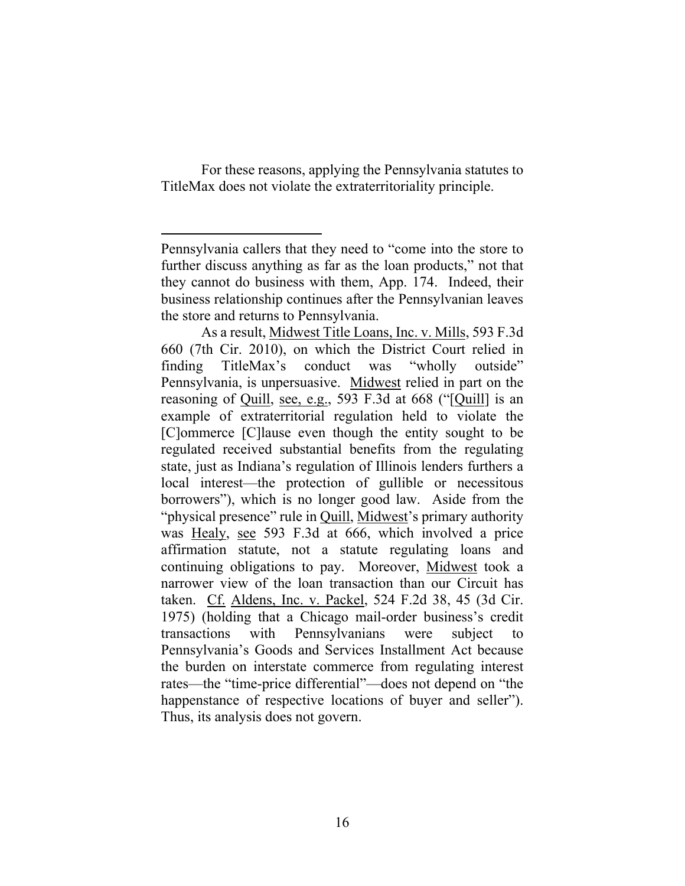For these reasons, applying the Pennsylvania statutes to TitleMax does not violate the extraterritoriality principle.

Pennsylvania callers that they need to "come into the store to further discuss anything as far as the loan products," not that they cannot do business with them, App. 174. Indeed, their business relationship continues after the Pennsylvanian leaves the store and returns to Pennsylvania.

As a result, Midwest Title Loans, Inc. v. Mills, 593 F.3d 660 (7th Cir. 2010), on which the District Court relied in finding TitleMax's conduct was "wholly outside" Pennsylvania, is unpersuasive. Midwest relied in part on the reasoning of Quill, see, e.g., 593 F.3d at 668 ("[Quill] is an example of extraterritorial regulation held to violate the [C]ommerce [C]lause even though the entity sought to be regulated received substantial benefits from the regulating state, just as Indiana's regulation of Illinois lenders furthers a local interest—the protection of gullible or necessitous borrowers"), which is no longer good law. Aside from the "physical presence" rule in Quill, Midwest's primary authority was Healy, see 593 F.3d at 666, which involved a price affirmation statute, not a statute regulating loans and continuing obligations to pay. Moreover, Midwest took a narrower view of the loan transaction than our Circuit has taken. Cf. Aldens, Inc. v. Packel, 524 F.2d 38, 45 (3d Cir. 1975) (holding that a Chicago mail-order business's credit transactions with Pennsylvanians were subject to Pennsylvania's Goods and Services Installment Act because the burden on interstate commerce from regulating interest rates—the "time-price differential"—does not depend on "the happenstance of respective locations of buyer and seller". Thus, its analysis does not govern.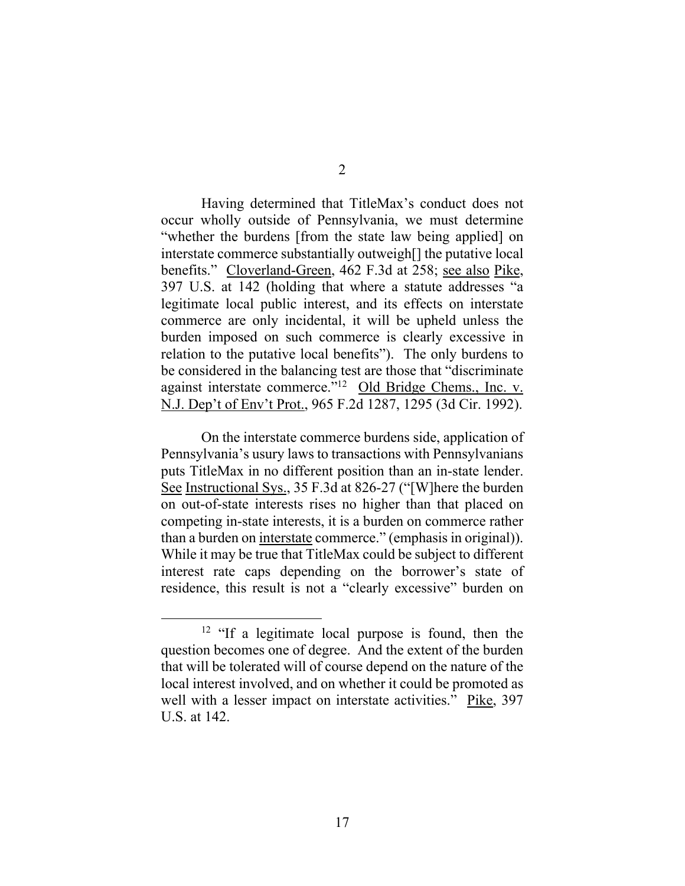2

 Having determined that TitleMax's conduct does not occur wholly outside of Pennsylvania, we must determine "whether the burdens [from the state law being applied] on interstate commerce substantially outweigh[] the putative local benefits." Cloverland-Green, 462 F.3d at 258; see also Pike, 397 U.S. at 142 (holding that where a statute addresses "a legitimate local public interest, and its effects on interstate commerce are only incidental, it will be upheld unless the burden imposed on such commerce is clearly excessive in relation to the putative local benefits"). The only burdens to be considered in the balancing test are those that "discriminate against interstate commerce."12 Old Bridge Chems., Inc. v. N.J. Dep't of Env't Prot., 965 F.2d 1287, 1295 (3d Cir. 1992).

On the interstate commerce burdens side, application of Pennsylvania's usury laws to transactions with Pennsylvanians puts TitleMax in no different position than an in-state lender. See Instructional Sys., 35 F.3d at 826-27 ("[W]here the burden on out-of-state interests rises no higher than that placed on competing in-state interests, it is a burden on commerce rather than a burden on interstate commerce." (emphasis in original)). While it may be true that TitleMax could be subject to different interest rate caps depending on the borrower's state of residence, this result is not a "clearly excessive" burden on

<sup>&</sup>lt;sup>12</sup> "If a legitimate local purpose is found, then the question becomes one of degree. And the extent of the burden that will be tolerated will of course depend on the nature of the local interest involved, and on whether it could be promoted as well with a lesser impact on interstate activities." Pike, 397 U.S. at 142.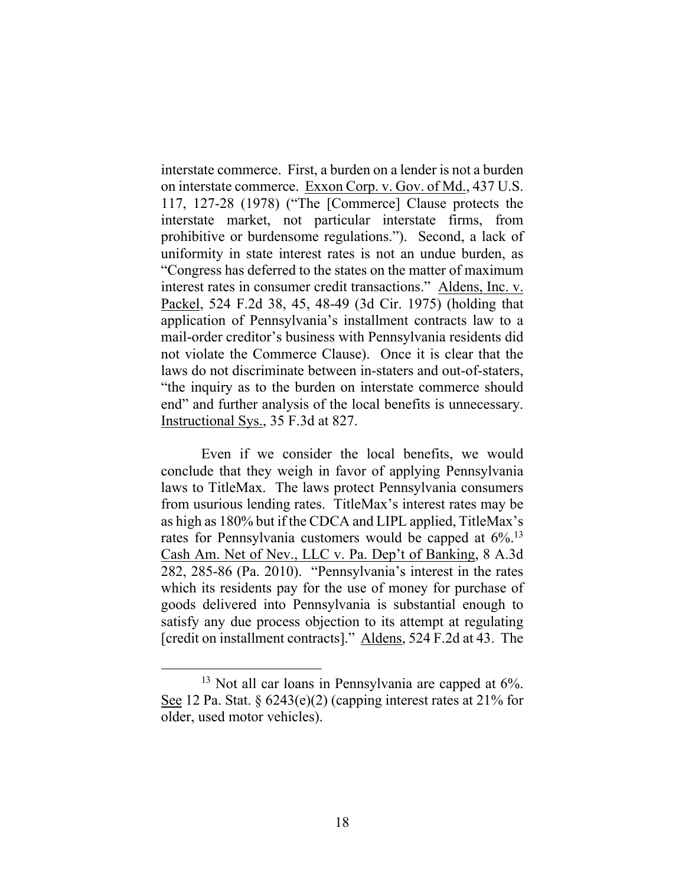interstate commerce. First, a burden on a lender is not a burden on interstate commerce. Exxon Corp. v. Gov. of Md., 437 U.S. 117, 127-28 (1978) ("The [Commerce] Clause protects the interstate market, not particular interstate firms, from prohibitive or burdensome regulations."). Second, a lack of uniformity in state interest rates is not an undue burden, as "Congress has deferred to the states on the matter of maximum interest rates in consumer credit transactions." Aldens, Inc. v. Packel, 524 F.2d 38, 45, 48-49 (3d Cir. 1975) (holding that application of Pennsylvania's installment contracts law to a mail-order creditor's business with Pennsylvania residents did not violate the Commerce Clause). Once it is clear that the laws do not discriminate between in-staters and out-of-staters, "the inquiry as to the burden on interstate commerce should end" and further analysis of the local benefits is unnecessary. Instructional Sys., 35 F.3d at 827.

 Even if we consider the local benefits, we would conclude that they weigh in favor of applying Pennsylvania laws to TitleMax. The laws protect Pennsylvania consumers from usurious lending rates. TitleMax's interest rates may be as high as 180% but if the CDCA and LIPL applied, TitleMax's rates for Pennsylvania customers would be capped at  $6\%$ .<sup>13</sup> Cash Am. Net of Nev., LLC v. Pa. Dep't of Banking, 8 A.3d 282, 285-86 (Pa. 2010). "Pennsylvania's interest in the rates which its residents pay for the use of money for purchase of goods delivered into Pennsylvania is substantial enough to satisfy any due process objection to its attempt at regulating [credit on installment contracts]." Aldens, 524 F.2d at 43. The

 $13$  Not all car loans in Pennsylvania are capped at  $6\%$ . See 12 Pa. Stat. §  $6243(e)(2)$  (capping interest rates at 21% for older, used motor vehicles).